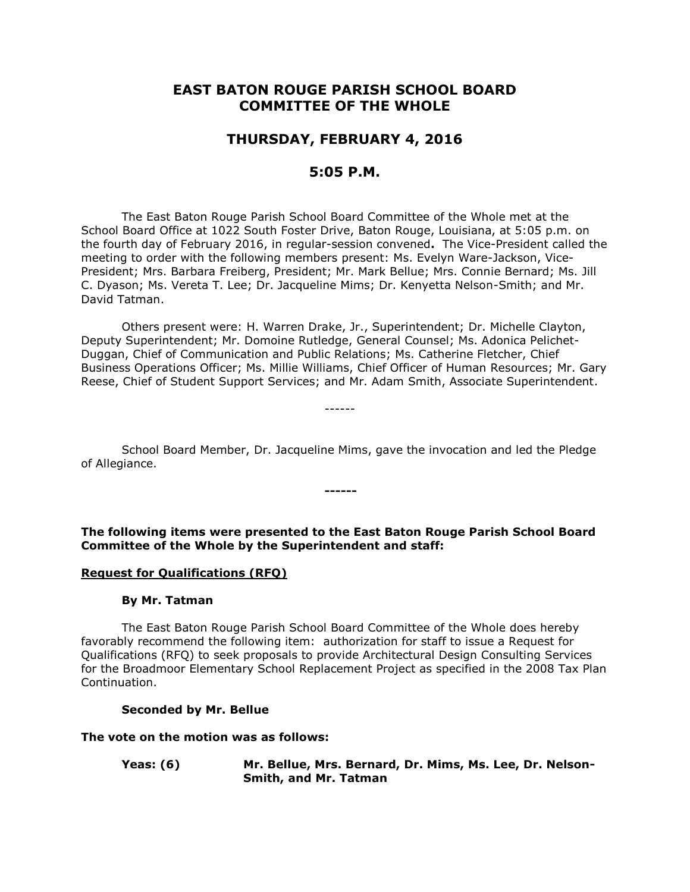# **EAST BATON ROUGE PARISH SCHOOL BOARD COMMITTEE OF THE WHOLE**

## **THURSDAY, FEBRUARY 4, 2016**

## **5:05 P.M.**

The East Baton Rouge Parish School Board Committee of the Whole met at the School Board Office at 1022 South Foster Drive, Baton Rouge, Louisiana, at 5:05 p.m. on the fourth day of February 2016, in regular-session convened**.** The Vice-President called the meeting to order with the following members present: Ms. Evelyn Ware-Jackson, Vice-President; Mrs. Barbara Freiberg, President; Mr. Mark Bellue; Mrs. Connie Bernard; Ms. Jill C. Dyason; Ms. Vereta T. Lee; Dr. Jacqueline Mims; Dr. Kenyetta Nelson-Smith; and Mr. David Tatman.

Others present were: H. Warren Drake, Jr., Superintendent; Dr. Michelle Clayton, Deputy Superintendent; Mr. Domoine Rutledge, General Counsel; Ms. Adonica Pelichet-Duggan, Chief of Communication and Public Relations; Ms. Catherine Fletcher, Chief Business Operations Officer; Ms. Millie Williams, Chief Officer of Human Resources; Mr. Gary Reese, Chief of Student Support Services; and Mr. Adam Smith, Associate Superintendent.

School Board Member, Dr. Jacqueline Mims, gave the invocation and led the Pledge of Allegiance.

**------**

------

**The following items were presented to the East Baton Rouge Parish School Board Committee of the Whole by the Superintendent and staff:**

#### **Request for Qualifications (RFQ)**

#### **By Mr. Tatman**

The East Baton Rouge Parish School Board Committee of the Whole does hereby favorably recommend the following item: authorization for staff to issue a Request for Qualifications (RFQ) to seek proposals to provide Architectural Design Consulting Services for the Broadmoor Elementary School Replacement Project as specified in the 2008 Tax Plan Continuation.

#### **Seconded by Mr. Bellue**

#### **The vote on the motion was as follows:**

**Yeas: (6) Mr. Bellue, Mrs. Bernard, Dr. Mims, Ms. Lee, Dr. Nelson-Smith, and Mr. Tatman**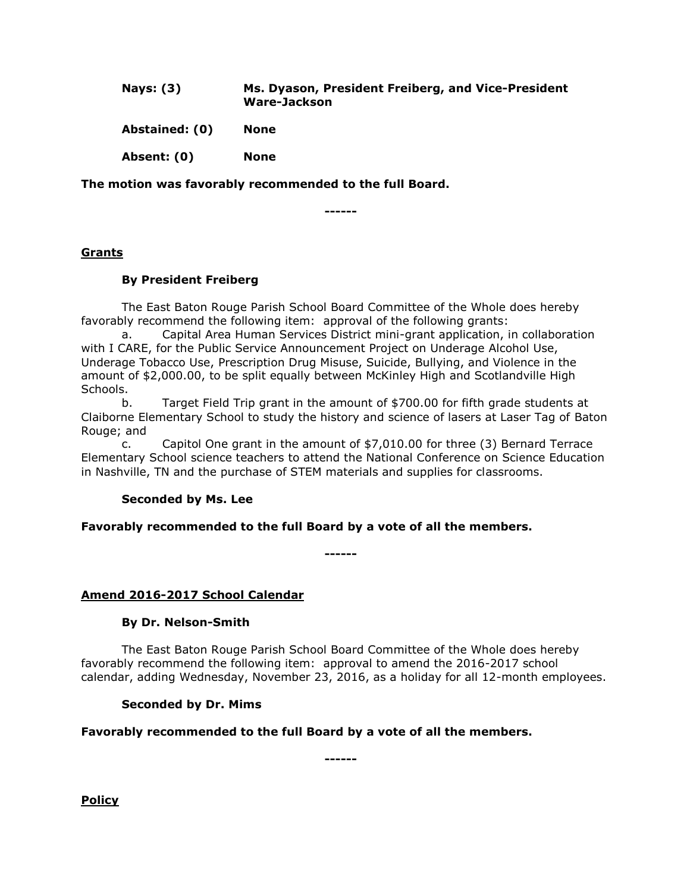| <b>Nays: (3)</b> | Ms. Dyason, President Freiberg, and Vice-President<br>Ware-Jackson |
|------------------|--------------------------------------------------------------------|
| Abstained: (0)   | None                                                               |
| Absent: (0)      | None                                                               |

**The motion was favorably recommended to the full Board.**

**------**

## **Grants**

## **By President Freiberg**

The East Baton Rouge Parish School Board Committee of the Whole does hereby favorably recommend the following item: approval of the following grants:

a. Capital Area Human Services District mini-grant application, in collaboration with I CARE, for the Public Service Announcement Project on Underage Alcohol Use, Underage Tobacco Use, Prescription Drug Misuse, Suicide, Bullying, and Violence in the amount of \$2,000.00, to be split equally between McKinley High and Scotlandville High Schools.

b. Target Field Trip grant in the amount of \$700.00 for fifth grade students at Claiborne Elementary School to study the history and science of lasers at Laser Tag of Baton Rouge; and

c. Capitol One grant in the amount of \$7,010.00 for three (3) Bernard Terrace Elementary School science teachers to attend the National Conference on Science Education in Nashville, TN and the purchase of STEM materials and supplies for classrooms.

## **Seconded by Ms. Lee**

## **Favorably recommended to the full Board by a vote of all the members.**

**------**

## **Amend 2016-2017 School Calendar**

## **By Dr. Nelson-Smith**

The East Baton Rouge Parish School Board Committee of the Whole does hereby favorably recommend the following item: approval to amend the 2016-2017 school calendar, adding Wednesday, November 23, 2016, as a holiday for all 12-month employees.

## **Seconded by Dr. Mims**

## **Favorably recommended to the full Board by a vote of all the members.**

**------**

**Policy**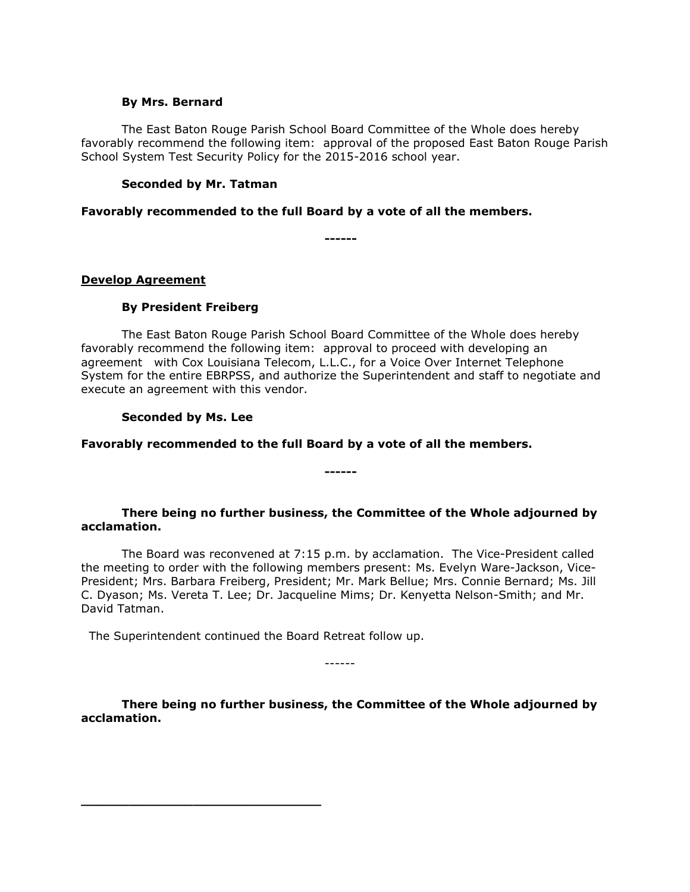#### **By Mrs. Bernard**

The East Baton Rouge Parish School Board Committee of the Whole does hereby favorably recommend the following item: approval of the proposed East Baton Rouge Parish School System Test Security Policy for the 2015-2016 school year.

#### **Seconded by Mr. Tatman**

**Favorably recommended to the full Board by a vote of all the members.**

**------**

## **Develop Agreement**

## **By President Freiberg**

The East Baton Rouge Parish School Board Committee of the Whole does hereby favorably recommend the following item: approval to proceed with developing an agreement with Cox Louisiana Telecom, L.L.C., for a Voice Over Internet Telephone System for the entire EBRPSS, and authorize the Superintendent and staff to negotiate and execute an agreement with this vendor.

## **Seconded by Ms. Lee**

#### **Favorably recommended to the full Board by a vote of all the members.**

**There being no further business, the Committee of the Whole adjourned by acclamation.**

**------**

The Board was reconvened at 7:15 p.m. by acclamation. The Vice-President called the meeting to order with the following members present: Ms. Evelyn Ware-Jackson, Vice-President; Mrs. Barbara Freiberg, President; Mr. Mark Bellue; Mrs. Connie Bernard; Ms. Jill C. Dyason; Ms. Vereta T. Lee; Dr. Jacqueline Mims; Dr. Kenyetta Nelson-Smith; and Mr. David Tatman.

The Superintendent continued the Board Retreat follow up.

**\_\_\_\_\_\_\_\_\_\_\_\_\_\_\_\_\_\_\_\_\_\_\_\_\_\_\_\_\_\_**

**There being no further business, the Committee of the Whole adjourned by acclamation.**

------